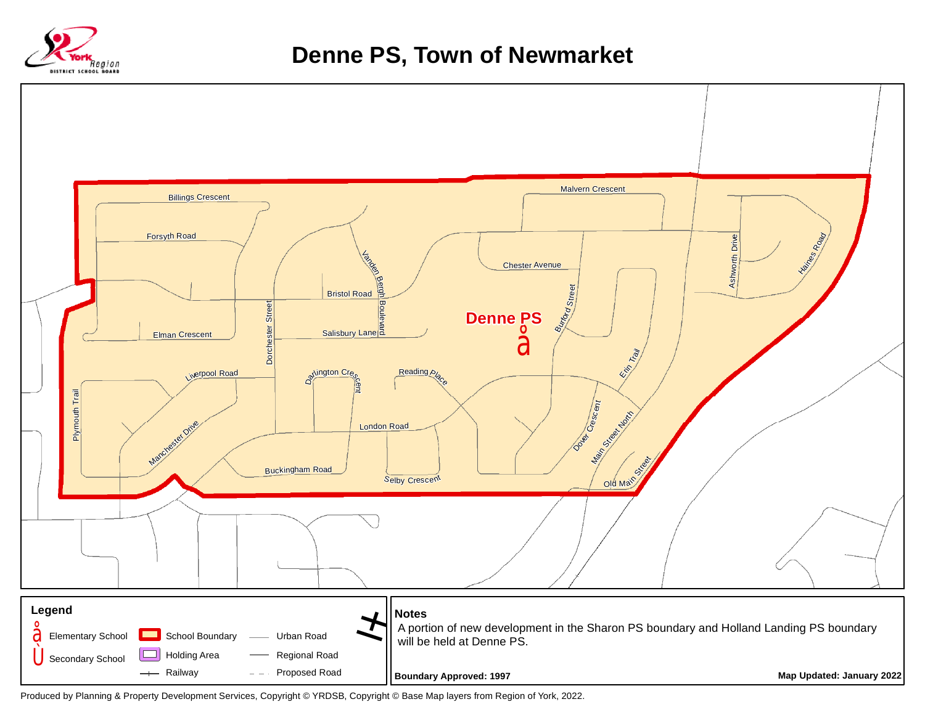

## **Denne PS, Town of Newmarket**



Produced by Planning & Property Development Services, Copyright © YRDSB, Copyright © Base Map layers from Region of York, 2022.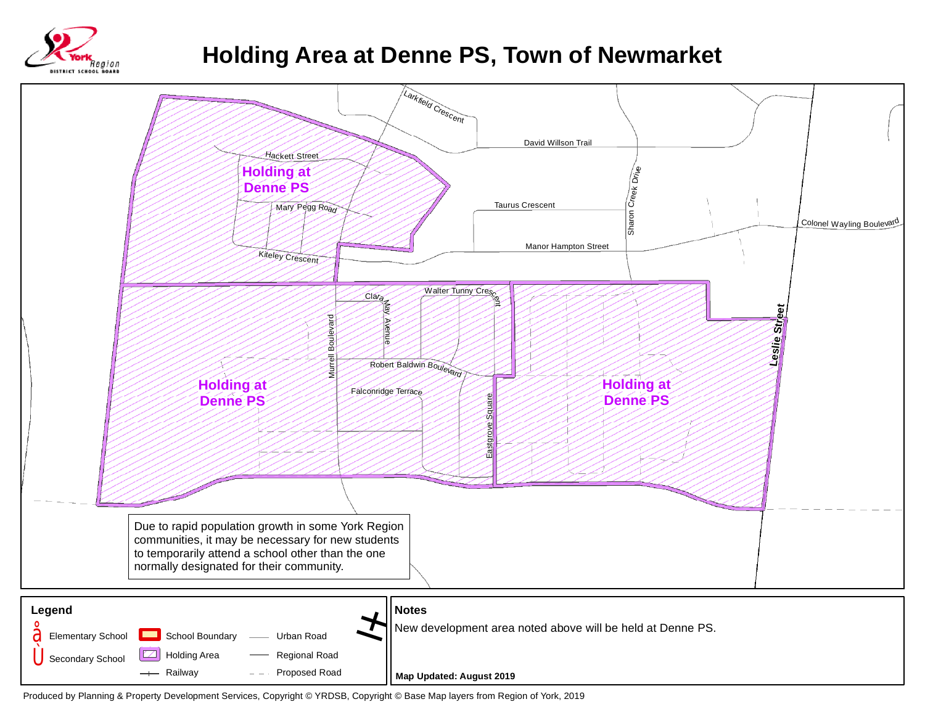

## **Holding Area at Denne PS, Town of Newmarket**



**Map Updated: August 2019**

Produced by Planning & Property Development Services, Copyright © YRDSB, Copyright © Base Map layers from Region of York, 2019

Proposed Road

 $-$ 

- Railway